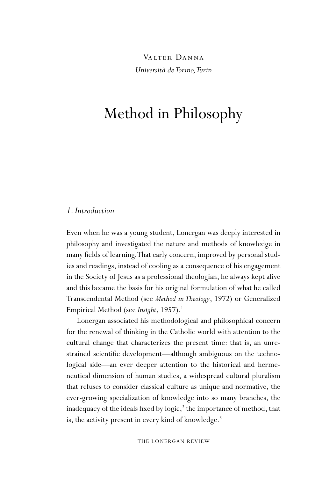VALTER DANNA *Università de Torino, Turin* 

# Method in Philosophy

## *1. Introduction*

Even when he was a young student, Lonergan was deeply interested in philosophy and investigated the nature and methods of knowledge in many fields of learning. That early concern, improved by personal studies and readings, instead of cooling as a consequence of his engagement in the Society of Jesus as a professional theologian, he always kept alive and this became the basis for his original formulation of what he called Transcendental Method (see *Method in Theology*, 1972) or Generalized Empirical Method (see *Insight*, 1957).<sup>1</sup>

Lonergan associated his methodological and philosophical concern for the renewal of thinking in the Catholic world with attention to the cultural change that characterizes the present time: that is, an unrestrained scientific development—although ambiguous on the technological side—an ever deeper attention to the historical and hermeneutical dimension of human studies, a widespread cultural pluralism that refuses to consider classical culture as unique and normative, the ever-growing specialization of knowledge into so many branches, the inadequacy of the ideals fixed by logic,<sup>2</sup> the importance of method, that is, the activity present in every kind of knowledge.<sup>3</sup>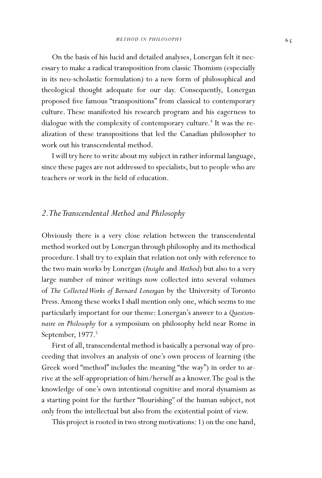On the basis of his lucid and detailed analyses, Lonergan felt it necessary to make a radical transposition from classic Thomism (especially in its neo-scholastic formulation) to a new form of philosophical and theological thought adequate for our day. Consequently, Lonergan proposed five famous "transpositions" from classical to contemporary culture. These manifested his research program and his eagerness to dialogue with the complexity of contemporary culture.<sup>4</sup> It was the realization of these transpositions that led the Canadian philosopher to work out his transcendental method.

I will try here to write about my subject in rather informal language, since these pages are not addressed to specialists, but to people who are teachers or work in the field of education.

## *2. The Transcendental Method and Philosophy*

Obviously there is a very close relation between the transcendental method worked out by Lonergan through philosophy and its methodical procedure. I shall try to explain that relation not only with reference to the two main works by Lonergan (*Insight* and *Method*) but also to a very large number of minor writings now collected into several volumes of *The Collected Works of Bernard Lonergan* by the University of Toronto Press. Among these works I shall mention only one, which seems to me particularly important for our theme: Lonergan's answer to a *Questionnaire on Philosophy* for a symposium on philosophy held near Rome in September, 1977.<sup>5</sup>

First of all, transcendental method is basically a personal way of proceeding that involves an analysis of one's own process of learning (the Greek word "method" includes the meaning "the way") in order to arrive at the self-appropriation of him/herself as a knower. The goal is the knowledge of one's own intentional cognitive and moral dynamism as a starting point for the further "flourishing" of the human subject, not only from the intellectual but also from the existential point of view.

This project is rooted in two strong motivations: 1) on the one hand,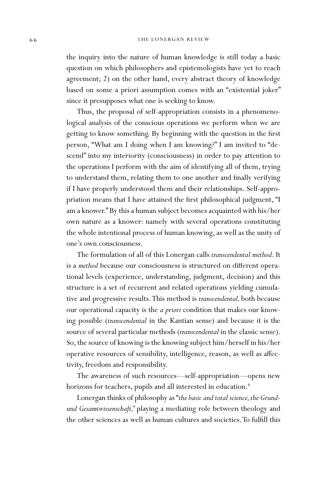the inquiry into the nature of human knowledge is still today a basic question on which philosophers and epistemologists have yet to reach agreement; 2) on the other hand, every abstract theory of knowledge based on some a priori assumption comes with an "existential joker" since it presupposes what one is seeking to know.

Thus, the proposal of self-appropriation consists in a phenomenological analysis of the conscious operations we perform when we are getting to know something. By beginning with the question in the first person, "What am I doing when I am knowing?" I am invited to "descend" into my interiority (consciousness) in order to pay attention to the operations I perform with the aim of identifying all of them, trying to understand them, relating them to one another and finally verifying if I have properly understood them and their relationships. Self-appropriation means that I have attained the first philosophical judgment, "I am a knower." By this a human subject becomes acquainted with his/her own nature as a knower: namely with several operations constituting the whole intentional process of human knowing, as well as the unity of one's own consciousness.

The formulation of all of this Lonergan calls *transcendental method*. It is a *method* because our consciousness is structured on different operational levels (experience, understanding, judgment, decision) and this structure is a set of recurrent and related operations yielding cumulative and progressive results. This method is *transcendental,* both because our operational capacity is the *a priori* condition that makes our knowing possible (*transcendental* in the Kantian sense) and because it is the source of several particular methods (*transcendental* in the classic sense). So, the source of knowing is the knowing subject him/herself in his/her operative resources of sensibility, intelligence, reason, as well as affectivity, freedom and responsibility.

The awareness of such resources—self-appropriation—opens new horizons for teachers, pupils and all interested in education.<sup>6</sup>

Lonergan thinks of philosophy as "*the basic and total science, the Grundund Gesamtwissenschaft,"* playing a mediating role between theology and the other sciences as well as human cultures and societies. To fulfill this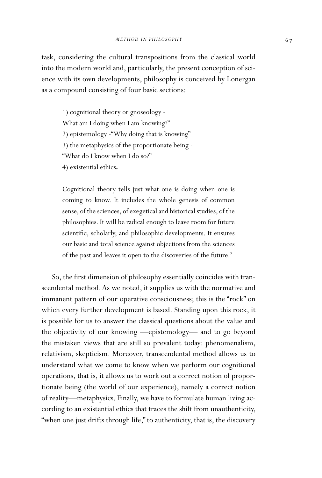task, considering the cultural transpositions from the classical world into the modern world and, particularly, the present conception of science with its own developments, philosophy is conceived by Lonergan as a compound consisting of four basic sections:

1) cognitional theory or gnoseology - What am I doing when I am knowing?" 2) epistemology -"Why doing that is knowing" 3) the metaphysics of the proportionate being - "What do I know when I do so?" 4) existential ethics**.**

Cognitional theory tells just what one is doing when one is coming to know. It includes the whole genesis of common sense, of the sciences, of exegetical and historical studies, of the philosophies. It will be radical enough to leave room for future scientific, scholarly, and philosophic developments. It ensures our basic and total science against objections from the sciences of the past and leaves it open to the discoveries of the future.7

So, the first dimension of philosophy essentially coincides with transcendental method. As we noted, it supplies us with the normative and immanent pattern of our operative consciousness; this is the "rock" on which every further development is based. Standing upon this rock, it is possible for us to answer the classical questions about the value and the objectivity of our knowing —epistemology— and to go beyond the mistaken views that are still so prevalent today: phenomenalism, relativism, skepticism. Moreover, transcendental method allows us to understand what we come to know when we perform our cognitional operations, that is, it allows us to work out a correct notion of proportionate being (the world of our experience), namely a correct notion of reality—metaphysics. Finally, we have to formulate human living according to an existential ethics that traces the shift from unauthenticity, "when one just drifts through life," to authenticity, that is, the discovery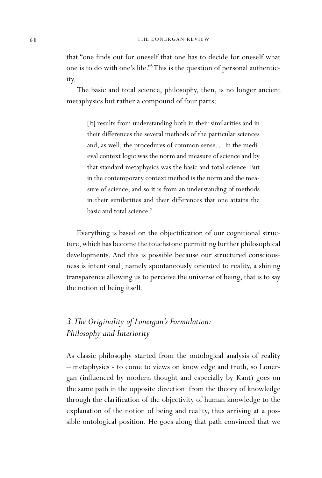that "one finds out for oneself that one has to decide for oneself what one is to do with one's life."8 This is the question of personal authenticity.

The basic and total science, philosophy, then, is no longer ancient metaphysics but rather a compound of four parts:

[It] results from understanding both in their similarities and in their differences the several methods of the particular sciences and, as well, the procedures of common sense… In the medieval context logic was the norm and measure of science and by that standard metaphysics was the basic and total science. But in the contemporary context method is the norm and the measure of science, and so it is from an understanding of methods in their similarities and their differences that one attains the basic and total science.<sup>9</sup>

Everything is based on the objectification of our cognitional structure, which has become the touchstone permitting further philosophical developments. And this is possible because our structured consciousness is intentional, namely spontaneously oriented to reality, a shining transparence allowing us to perceive the universe of being, that is to say the notion of being itself.

## *3. The Originality of Lonergan's Formulation: Philosophy and Interiority*

As classic philosophy started from the ontological analysis of reality – metaphysics - to come to views on knowledge and truth, so Lonergan (influenced by modern thought and especially by Kant) goes on the same path in the opposite direction: from the theory of knowledge through the clarification of the objectivity of human knowledge to the explanation of the notion of being and reality, thus arriving at a possible ontological position. He goes along that path convinced that we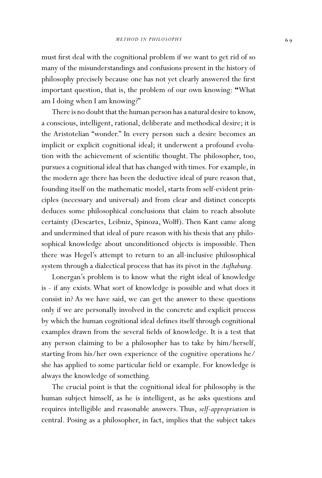must first deal with the cognitional problem if we want to get rid of so many of the misunderstandings and confusions present in the history of philosophy precisely because one has not yet clearly answered the first important question, that is, the problem of our own knowing: **"**What am I doing when I am knowing?"

There is no doubt that the human person has a natural desire to know, a conscious, intelligent, rational, deliberate and methodical desire; it is the Aristotelian "wonder." In every person such a desire becomes an implicit or explicit cognitional ideal; it underwent a profound evolution with the achievement of scientific thought. The philosopher, too, pursues a cognitional ideal that has changed with times. For example, in the modern age there has been the deductive ideal of pure reason that, founding itself on the mathematic model, starts from self-evident principles (necessary and universal) and from clear and distinct concepts deduces some philosophical conclusions that claim to reach absolute certainty (Descartes, Leibniz, Spinoza, Wolff). Then Kant came along and undermined that ideal of pure reason with his thesis that any philosophical knowledge about unconditioned objects is impossible. Then there was Hegel's attempt to return to an all-inclusive philosophical system through a dialectical process that has its pivot in the *Aufhebung*.

Lonergan's problem is to know what the right ideal of knowledge is - if any exists. What sort of knowledge is possible and what does it consist in? As we have said, we can get the answer to these questions only if we are personally involved in the concrete and explicit process by which the human cognitional ideal defines itself through cognitional examples drawn from the several fields of knowledge. It is a test that any person claiming to be a philosopher has to take by him/herself, starting from his/her own experience of the cognitive operations he/ she has applied to some particular field or example. For knowledge is always the knowledge of something.

The crucial point is that the cognitional ideal for philosophy is the human subject himself, as he is intelligent, as he asks questions and requires intelligible and reasonable answers. Thus, *self-appropriation* is central. Posing as a philosopher, in fact, implies that the subject takes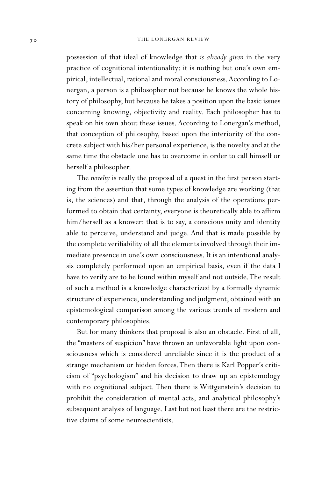possession of that ideal of knowledge that *is already given* in the very practice of cognitional intentionality: it is nothing but one's own empirical, intellectual, rational and moral consciousness. According to Lonergan, a person is a philosopher not because he knows the whole history of philosophy, but because he takes a position upon the basic issues concerning knowing, objectivity and reality. Each philosopher has to speak on his own about these issues. According to Lonergan's method, that conception of philosophy, based upon the interiority of the concrete subject with his/her personal experience, is the novelty and at the same time the obstacle one has to overcome in order to call himself or herself a philosopher.

The *novelty* is really the proposal of a quest in the first person starting from the assertion that some types of knowledge are working (that is, the sciences) and that, through the analysis of the operations performed to obtain that certainty, everyone is theoretically able to affirm him/herself as a knower: that is to say, a conscious unity and identity able to perceive, understand and judge. And that is made possible by the complete verifiability of all the elements involved through their immediate presence in one's own consciousness. It is an intentional analysis completely performed upon an empirical basis, even if the data I have to verify are to be found within myself and not outside. The result of such a method is a knowledge characterized by a formally dynamic structure of experience, understanding and judgment, obtained with an epistemological comparison among the various trends of modern and contemporary philosophies.

But for many thinkers that proposal is also an obstacle. First of all, the "masters of suspicion" have thrown an unfavorable light upon consciousness which is considered unreliable since it is the product of a strange mechanism or hidden forces. Then there is Karl Popper's criticism of "psychologism" and his decision to draw up an epistemology with no cognitional subject. Then there is Wittgenstein's decision to prohibit the consideration of mental acts, and analytical philosophy's subsequent analysis of language. Last but not least there are the restrictive claims of some neuroscientists.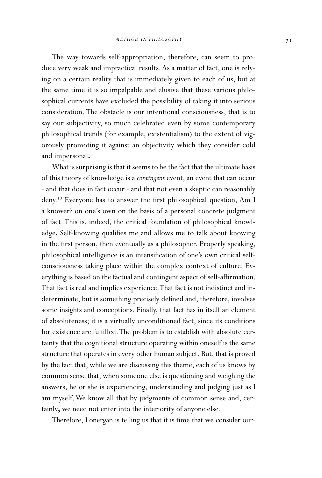The way towards self-appropriation, therefore, can seem to produce very weak and impractical results. As a matter of fact, one is relying on a certain reality that is immediately given to each of us, but at the same time it is so impalpable and elusive that these various philosophical currents have excluded the possibility of taking it into serious consideration. The obstacle is our intentional consciousness, that is to say our subjectivity, so much celebrated even by some contemporary philosophical trends (for example, existentialism) to the extent of vigorously promoting it against an objectivity which they consider cold and impersonal**.** 

What is surprising is that it seems to be the fact that the ultimate basis of this theory of knowledge is a *contingent* event, an event that can occur - and that does in fact occur - and that not even a skeptic can reasonably deny.<sup>10</sup> Everyone has to answer the first philosophical question, Am I a knower? on one's own on the basis of a personal concrete judgment of fact. This is, indeed, the critical foundation of philosophical knowledge. Self-knowing qualifies me and allows me to talk about knowing in the first person, then eventually as a philosopher. Properly speaking, philosophical intelligence is an intensification of one's own critical selfconsciousness taking place within the complex context of culture. Everything is based on the factual and contingent aspect of self-affirmation. That fact is real and implies experience. That fact is not indistinct and indeterminate, but is something precisely defined and, therefore, involves some insights and conceptions. Finally, that fact has in itself an element of absoluteness; it is a virtually unconditioned fact, since its conditions for existence are fulfilled. The problem is to establish with absolute certainty that the cognitional structure operating within oneself is the same structure that operates in every other human subject. But, that is proved by the fact that, while we are discussing this theme, each of us knows by common sense that, when someone else is questioning and weighing the answers, he or she is experiencing, understanding and judging just as I am myself. We know all that by judgments of common sense and, certainly**,** we need not enter into the interiority of anyone else.

Therefore, Lonergan is telling us that it is time that we consider our-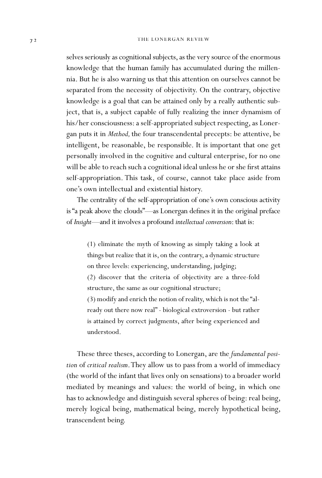selves seriously as cognitional subjects, as the very source of the enormous knowledge that the human family has accumulated during the millennia. But he is also warning us that this attention on ourselves cannot be separated from the necessity of objectivity. On the contrary, objective knowledge is a goal that can be attained only by a really authentic subject, that is, a subject capable of fully realizing the inner dynamism of his/her consciousness: a self-appropriated subject respecting, as Lonergan puts it in *Method,* the four transcendental precepts: be attentive, be intelligent, be reasonable, be responsible. It is important that one get personally involved in the cognitive and cultural enterprise, for no one will be able to reach such a cognitional ideal unless he or she first attains self-appropriation. This task, of course, cannot take place aside from one's own intellectual and existential history.

The centrality of the self-appropriation of one's own conscious activity is "a peak above the clouds"—as Lonergan defines it in the original preface of *Insight—*and it involves a profound *intellectual conversion*: that is:

(1) eliminate the myth of knowing as simply taking a look at things but realize that it is, on the contrary, a dynamic structure on three levels: experiencing, understanding, judging; (2) discover that the criteria of objectivity are a three-fold structure, the same as our cognitional structure; (3) modify and enrich the notion of reality, which is not the "already out there now real" - biological extroversion - but rather is attained by correct judgments, after being experienced and understood.

These three theses, according to Lonergan, are the *fundamental position* of *critical realism*. They allow us to pass from a world of immediacy (the world of the infant that lives only on sensations) to a broader world mediated by meanings and values: the world of being, in which one has to acknowledge and distinguish several spheres of being: real being, merely logical being, mathematical being, merely hypothetical being, transcendent being.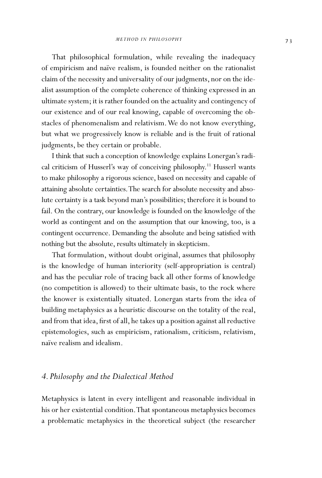That philosophical formulation, while revealing the inadequacy of empiricism and naïve realism, is founded neither on the rationalist claim of the necessity and universality of our judgments, nor on the idealist assumption of the complete coherence of thinking expressed in an ultimate system; it is rather founded on the actuality and contingency of our existence and of our real knowing, capable of overcoming the obstacles of phenomenalism and relativism. We do not know everything, but what we progressively know is reliable and is the fruit of rational judgments, be they certain or probable.

I think that such a conception of knowledge explains Lonergan's radical criticism of Husserl's way of conceiving philosophy.<sup>11</sup> Husserl wants to make philosophy a rigorous science, based on necessity and capable of attaining absolute certainties. The search for absolute necessity and absolute certainty is a task beyond man's possibilities; therefore it is bound to fail. On the contrary, our knowledge is founded on the knowledge of the world as contingent and on the assumption that our knowing, too, is a contingent occurrence. Demanding the absolute and being satisfied with nothing but the absolute, results ultimately in skepticism.

That formulation, without doubt original, assumes that philosophy is the knowledge of human interiority (self-appropriation is central) and has the peculiar role of tracing back all other forms of knowledge (no competition is allowed) to their ultimate basis, to the rock where the knower is existentially situated. Lonergan starts from the idea of building metaphysics as a heuristic discourse on the totality of the real, and from that idea, first of all, he takes up a position against all reductive epistemologies, such as empiricism, rationalism, criticism, relativism, naïve realism and idealism.

## *4. Philosophy and the Dialectical Method*

Metaphysics is latent in every intelligent and reasonable individual in his or her existential condition. That spontaneous metaphysics becomes a problematic metaphysics in the theoretical subject (the researcher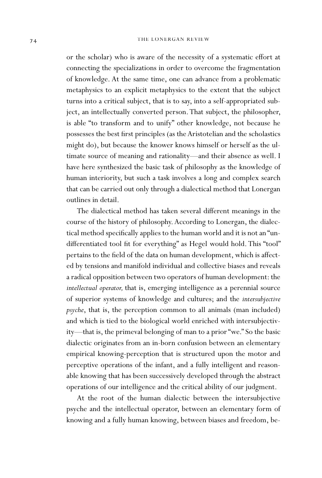### 74 THE LONERGAN REVIEW

or the scholar) who is aware of the necessity of a systematic effort at connecting the specializations in order to overcome the fragmentation of knowledge. At the same time, one can advance from a problematic metaphysics to an explicit metaphysics to the extent that the subject turns into a critical subject, that is to say, into a self-appropriated subject, an intellectually converted person. That subject, the philosopher, is able "to transform and to unify" other knowledge, not because he possesses the best first principles (as the Aristotelian and the scholastics might do), but because the knower knows himself or herself as the ultimate source of meaning and rationality—and their absence as well. I have here synthesized the basic task of philosophy as the knowledge of human interiority, but such a task involves a long and complex search that can be carried out only through a dialectical method that Lonergan outlines in detail.

The dialectical method has taken several different meanings in the course of the history of philosophy. According to Lonergan, the dialectical method specifically applies to the human world and it is not an "undifferentiated tool fit for everything" as Hegel would hold. This "tool" pertains to the field of the data on human development, which is affected by tensions and manifold individual and collective biases and reveals a radical opposition between two operators of human development: the *intellectual operator,* that is, emerging intelligence as a perennial source of superior systems of knowledge and cultures; and the *intersubjective psyche*, that is, the perception common to all animals (man included) and which is tied to the biological world enriched with intersubjectivity—that is, the primeval belonging of man to a prior "we." So the basic dialectic originates from an in-born confusion between an elementary empirical knowing-perception that is structured upon the motor and perceptive operations of the infant, and a fully intelligent and reasonable knowing that has been successively developed through the abstract operations of our intelligence and the critical ability of our judgment.

At the root of the human dialectic between the intersubjective psyche and the intellectual operator, between an elementary form of knowing and a fully human knowing, between biases and freedom, be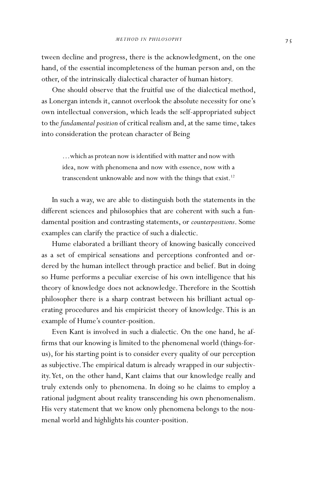tween decline and progress, there is the acknowledgment, on the one hand, of the essential incompleteness of the human person and, on the other, of the intrinsically dialectical character of human history.

One should observe that the fruitful use of the dialectical method, as Lonergan intends it, cannot overlook the absolute necessity for one's own intellectual conversion, which leads the self-appropriated subject to the *fundamental position* of critical realism and, at the same time, takes into consideration the protean character of Being

...which as protean now is identified with matter and now with idea, now with phenomena and now with essence, now with a transcendent unknowable and now with the things that exist.<sup>12</sup>

In such a way, we are able to distinguish both the statements in the different sciences and philosophies that are coherent with such a fundamental position and contrasting statements, or *counterpositions*. Some examples can clarify the practice of such a dialectic.

Hume elaborated a brilliant theory of knowing basically conceived as a set of empirical sensations and perceptions confronted and ordered by the human intellect through practice and belief. But in doing so Hume performs a peculiar exercise of his own intelligence that his theory of knowledge does not acknowledge. Therefore in the Scottish philosopher there is a sharp contrast between his brilliant actual operating procedures and his empiricist theory of knowledge. This is an example of Hume's counter-position.

Even Kant is involved in such a dialectic. On the one hand, he af firms that our knowing is limited to the phenomenal world (things-forus), for his starting point is to consider every quality of our perception as subjective. The empirical datum is already wrapped in our subjectivity. Yet, on the other hand, Kant claims that our knowledge really and truly extends only to phenomena. In doing so he claims to employ a rational judgment about reality transcending his own phenomenalism. His very statement that we know only phenomena belongs to the noumenal world and highlights his counter-position.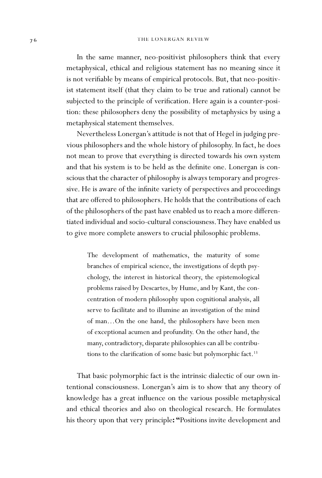#### 76 THE LONERGAN REVIEW

In the same manner, neo-positivist philosophers think that every metaphysical, ethical and religious statement has no meaning since it is not verifiable by means of empirical protocols. But, that neo-positivist statement itself (that they claim to be true and rational) cannot be subjected to the principle of verification. Here again is a counter-position: these philosophers deny the possibility of metaphysics by using a metaphysical statement themselves.

Nevertheless Lonergan's attitude is not that of Hegel in judging previous philosophers and the whole history of philosophy. In fact, he does not mean to prove that everything is directed towards his own system and that his system is to be held as the definite one. Lonergan is conscious that the character of philosophy is always temporary and progressive. He is aware of the infinite variety of perspectives and proceedings that are offered to philosophers. He holds that the contributions of each of the philosophers of the past have enabled us to reach a more differentiated individual and socio-cultural consciousness. They have enabled us to give more complete answers to crucial philosophic problems.

The development of mathematics, the maturity of some branches of empirical science, the investigations of depth psychology, the interest in historical theory, the epistemological problems raised by Descartes, by Hume, and by Kant, the concentration of modern philosophy upon cognitional analysis, all serve to facilitate and to illumine an investigation of the mind of man…On the one hand, the philosophers have been men of exceptional acumen and profundity. On the other hand, the many, contradictory, disparate philosophies can all be contributions to the clarification of some basic but polymorphic fact.<sup>13</sup>

That basic polymorphic fact is the intrinsic dialectic of our own intentional consciousness. Lonergan's aim is to show that any theory of knowledge has a great influence on the various possible metaphysical and ethical theories and also on theological research. He formulates his theory upon that very principle**: "**Positions invite development and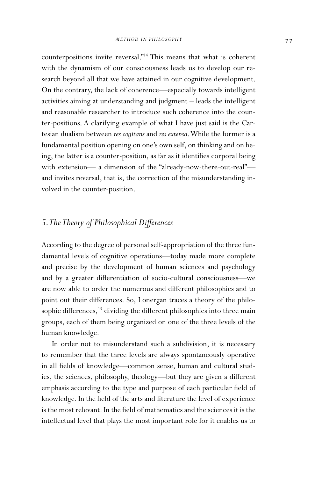counterpositions invite reversal."14 This means that what is coherent with the dynamism of our consciousness leads us to develop our research beyond all that we have attained in our cognitive development. On the contrary, the lack of coherence—especially towards intelligent activities aiming at understanding and judgment – leads the intelligent and reasonable researcher to introduce such coherence into the counter-positions. A clarifying example of what I have just said is the Cartesian dualism between *res cogitans* and *res extensa*. While the former is a fundamental position opening on one's own self, on thinking and on being, the latter is a counter-position, as far as it identifies corporal being with extension— a dimension of the "already-now-there-out-real" and invites reversal, that is, the correction of the misunderstanding involved in the counter-position.

## 5. The Theory of Philosophical Differences

According to the degree of personal self-appropriation of the three fundamental levels of cognitive operations—today made more complete and precise by the development of human sciences and psychology and by a greater differentiation of socio-cultural consciousness---we are now able to order the numerous and different philosophies and to point out their differences. So, Lonergan traces a theory of the philosophic differences,<sup>15</sup> dividing the different philosophies into three main groups, each of them being organized on one of the three levels of the human knowledge.

In order not to misunderstand such a subdivision, it is necessary to remember that the three levels are always spontaneously operative in all fields of knowledge—common sense, human and cultural studies, the sciences, philosophy, theology—but they are given a different emphasis according to the type and purpose of each particular field of knowledge. In the field of the arts and literature the level of experience is the most relevant. In the field of mathematics and the sciences it is the intellectual level that plays the most important role for it enables us to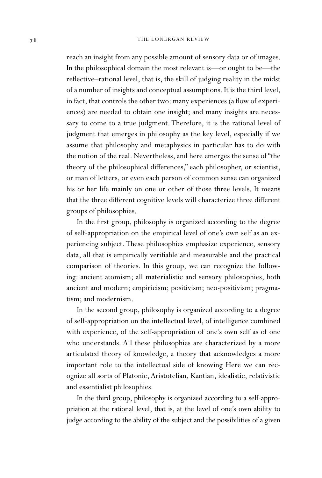reach an insight from any possible amount of sensory data or of images. In the philosophical domain the most relevant is—or ought to be—the reflective–rational level, that is, the skill of judging reality in the midst of a number of insights and conceptual assumptions. It is the third level, in fact, that controls the other two: many experiences (a flow of experiences) are needed to obtain one insight; and many insights are necessary to come to a true judgment. Therefore, it is the rational level of judgment that emerges in philosophy as the key level, especially if we assume that philosophy and metaphysics in particular has to do with the notion of the real. Nevertheless, and here emerges the sense of "the theory of the philosophical differences," each philosopher, or scientist, or man of letters, or even each person of common sense can organized his or her life mainly on one or other of those three levels. It means that the three different cognitive levels will characterize three different groups of philosophies.

In the first group, philosophy is organized according to the degree of self-appropriation on the empirical level of one's own self as an experiencing subject. These philosophies emphasize experience, sensory data, all that is empirically verifiable and measurable and the practical comparison of theories. In this group, we can recognize the following: ancient atomism; all materialistic and sensory philosophies, both ancient and modern; empiricism; positivism; neo-positivism; pragmatism; and modernism.

In the second group, philosophy is organized according to a degree of self-appropriation on the intellectual level, of intelligence combined with experience, of the self-appropriation of one's own self as of one who understands. All these philosophies are characterized by a more articulated theory of knowledge, a theory that acknowledges a more important role to the intellectual side of knowing Here we can recognize all sorts of Platonic, Aristotelian, Kantian, idealistic, relativistic and essentialist philosophies.

In the third group, philosophy is organized according to a self-appropriation at the rational level, that is, at the level of one's own ability to judge according to the ability of the subject and the possibilities of a given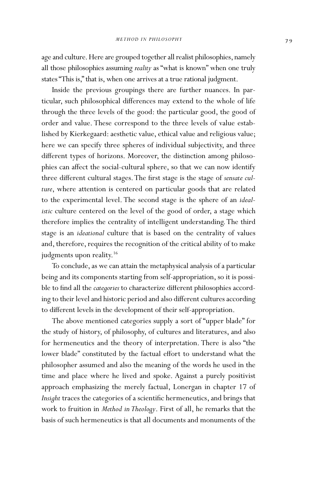age and culture. Here are grouped together all realist philosophies, namely all those philosophies assuming *reality* as "what is known" when one truly states "This is," that is, when one arrives at a true rational judgment.

Inside the previous groupings there are further nuances. In particular, such philosophical differences may extend to the whole of life through the three levels of the good: the particular good, the good of order and value. These correspond to the three levels of value established by Kierkegaard: aesthetic value, ethical value and religious value; here we can specify three spheres of individual subjectivity, and three different types of horizons. Moreover, the distinction among philosophies can affect the social-cultural sphere, so that we can now identify three different cultural stages. The first stage is the stage of *sensate culture*, where attention is centered on particular goods that are related to the experimental level. The second stage is the sphere of an *idealistic* culture centered on the level of the good of order, a stage which therefore implies the centrality of intelligent understanding. The third stage is an *ideational* culture that is based on the centrality of values and, therefore, requires the recognition of the critical ability of to make judgments upon reality.<sup>16</sup>

To conclude, as we can attain the metaphysical analysis of a particular being and its components starting from self-appropriation, so it is possible to find all the *categories* to characterize different philosophies according to their level and historic period and also different cultures according to different levels in the development of their self-appropriation.

The above mentioned categories supply a sort of "upper blade" for the study of history, of philosophy, of cultures and literatures, and also for hermeneutics and the theory of interpretation. There is also "the lower blade" constituted by the factual effort to understand what the philosopher assumed and also the meaning of the words he used in the time and place where he lived and spoke. Against a purely positivist approach emphasizing the merely factual, Lonergan in chapter 17 of Insight traces the categories of a scientific hermeneutics, and brings that work to fruition in *Method in Theology*. First of all, he remarks that the basis of such hermeneutics is that all documents and monuments of the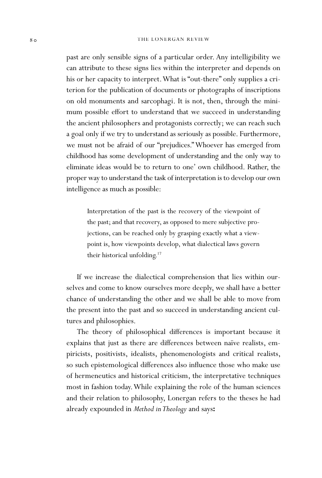#### 80 THE LONERGAN REVIEW

past are only sensible signs of a particular order. Any intelligibility we can attribute to these signs lies within the interpreter and depends on his or her capacity to interpret. What is "out-there" only supplies a criterion for the publication of documents or photographs of inscriptions on old monuments and sarcophagi. It is not, then, through the minimum possible effort to understand that we succeed in understanding the ancient philosophers and protagonists correctly; we can reach such a goal only if we try to understand as seriously as possible. Furthermore, we must not be afraid of our "prejudices." Whoever has emerged from childhood has some development of understanding and the only way to eliminate ideas would be to return to one' own childhood. Rather, the proper way to understand the task of interpretation is to develop our own intelligence as much as possible:

Interpretation of the past is the recovery of the viewpoint of the past; and that recovery, as opposed to mere subjective projections, can be reached only by grasping exactly what a viewpoint is, how viewpoints develop, what dialectical laws govern their historical unfolding.17

If we increase the dialectical comprehension that lies within ourselves and come to know ourselves more deeply, we shall have a better chance of understanding the other and we shall be able to move from the present into the past and so succeed in understanding ancient cultures and philosophies.

The theory of philosophical differences is important because it explains that just as there are differences between naïve realists, empiricists, positivists, idealists, phenomenologists and critical realists, so such epistemological differences also influence those who make use of hermeneutics and historical criticism, the interpretative techniques most in fashion today. While explaining the role of the human sciences and their relation to philosophy, Lonergan refers to the theses he had already expounded in *Method in Theology* and says**:**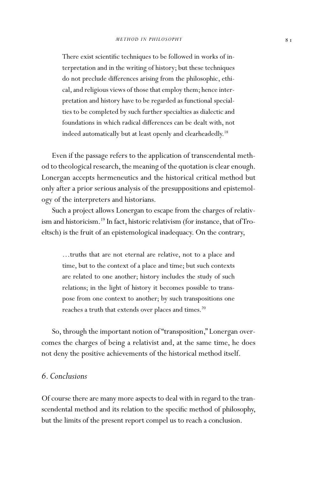There exist scientific techniques to be followed in works of interpretation and in the writing of history; but these techniques do not preclude differences arising from the philosophic, ethical, and religious views of those that employ them; hence interpretation and history have to be regarded as functional specialties to be completed by such further specialties as dialectic and foundations in which radical differences can be dealt with, not indeed automatically but at least openly and clearheadedly.<sup>18</sup>

Even if the passage refers to the application of transcendental method to theological research, the meaning of the quotation is clear enough. Lonergan accepts hermeneutics and the historical critical method but only after a prior serious analysis of the presuppositions and epistemology of the interpreters and historians.

Such a project allows Lonergan to escape from the charges of relativism and historicism.<sup>19</sup> In fact, historic relativism (for instance, that of Troeltsch) is the fruit of an epistemological inadequacy. On the contrary,

…truths that are not eternal are relative, not to a place and time, but to the context of a place and time; but such contexts are related to one another; history includes the study of such relations; in the light of history it becomes possible to transpose from one context to another; by such transpositions one reaches a truth that extends over places and times.<sup>20</sup>

So, through the important notion of "transposition," Lonergan overcomes the charges of being a relativist and, at the same time, he does not deny the positive achievements of the historical method itself.

## *6. Conclusions*

Of course there are many more aspects to deal with in regard to the transcendental method and its relation to the specific method of philosophy, but the limits of the present report compel us to reach a conclusion.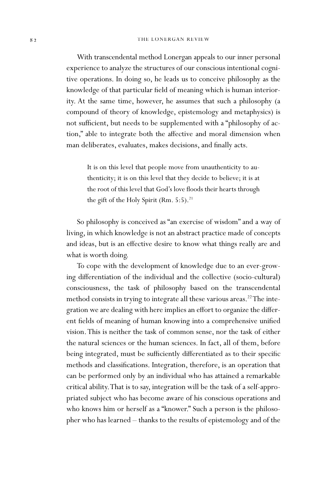With transcendental method Lonergan appeals to our inner personal experience to analyze the structures of our conscious intentional cognitive operations. In doing so, he leads us to conceive philosophy as the knowledge of that particular field of meaning which is human interiority. At the same time, however, he assumes that such a philosophy (a compound of theory of knowledge, epistemology and metaphysics) is not sufficient, but needs to be supplemented with a "philosophy of action," able to integrate both the affective and moral dimension when man deliberates, evaluates, makes decisions, and finally acts.

It is on this level that people move from unauthenticity to authenticity; it is on this level that they decide to believe; it is at the root of this level that God's love floods their hearts through the gift of the Holy Spirit (Rm.  $5:5$ ).<sup>21</sup>

So philosophy is conceived as "an exercise of wisdom" and a way of living, in which knowledge is not an abstract practice made of concepts and ideas, but is an effective desire to know what things really are and what is worth doing.

To cope with the development of knowledge due to an ever-growing differentiation of the individual and the collective (socio-cultural) consciousness, the task of philosophy based on the transcendental method consists in trying to integrate all these various areas.<sup>22</sup> The integration we are dealing with here implies an effort to organize the different fields of meaning of human knowing into a comprehensive unified vision. This is neither the task of common sense, nor the task of either the natural sciences or the human sciences. In fact, all of them, before being integrated, must be sufficiently differentiated as to their specific methods and classifications. Integration, therefore, is an operation that can be performed only by an individual who has attained a remarkable critical ability. That is to say, integration will be the task of a self-appropriated subject who has become aware of his conscious operations and who knows him or herself as a "knower." Such a person is the philosopher who has learned – thanks to the results of epistemology and of the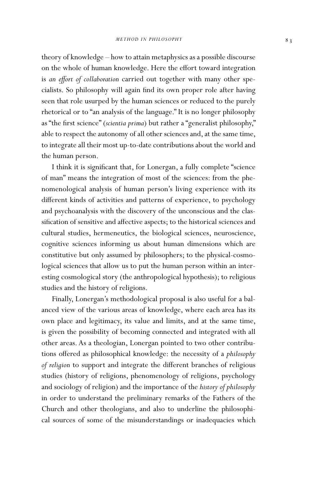theory of knowledge – how to attain metaphysics as a possible discourse on the whole of human knowledge. Here the effort toward integration is an effort of collaboration carried out together with many other specialists. So philosophy will again find its own proper role after having seen that role usurped by the human sciences or reduced to the purely rhetorical or to "an analysis of the language." It is no longer philosophy as "the first science" (*scientia prima*) but rather a "generalist philosophy," able to respect the autonomy of all other sciences and, at the same time, to integrate all their most up-to-date contributions about the world and the human person.

I think it is significant that, for Lonergan, a fully complete "science of man" means the integration of most of the sciences: from the phenomenological analysis of human person's living experience with its different kinds of activities and patterns of experience, to psychology and psychoanalysis with the discovery of the unconscious and the classification of sensitive and affective aspects; to the historical sciences and cultural studies, hermeneutics, the biological sciences, neuroscience, cognitive sciences informing us about human dimensions which are constitutive but only assumed by philosophers; to the physical-cosmological sciences that allow us to put the human person within an interesting cosmological story (the anthropological hypothesis); to religious studies and the history of religions.

Finally, Lonergan's methodological proposal is also useful for a balanced view of the various areas of knowledge, where each area has its own place and legitimacy, its value and limits, and at the same time, is given the possibility of becoming connected and integrated with all other areas. As a theologian, Lonergan pointed to two other contributions offered as philosophical knowledge: the necessity of a *philosophy of religion* to support and integrate the different branches of religious studies (history of religions, phenomenology of religions, psychology and sociology of religion) and the importance of the *history of philosophy* in order to understand the preliminary remarks of the Fathers of the Church and other theologians, and also to underline the philosophical sources of some of the misunderstandings or inadequacies which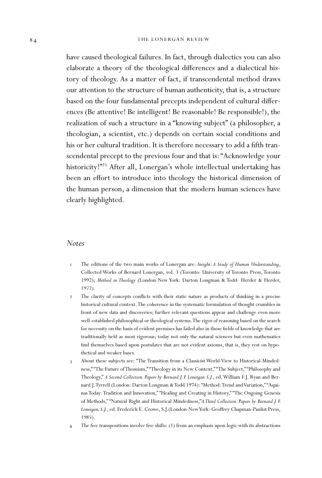have caused theological failures. In fact, through dialectics you can also elaborate a theory of the theological differences and a dialectical history of theology. As a matter of fact, if transcendental method draws our attention to the structure of human authenticity, that is, a structure based on the four fundamental precepts independent of cultural differences (Be attentive! Be intelligent! Be reasonable! Be responsible!), the realization of such a structure in a "knowing subject" (a philosopher, a theologian, a scientist, etc.) depends on certain social conditions and his or her cultural tradition. It is therefore necessary to add a fifth transcendental precept to the previous four and that is: "Acknowledge your historicity!"<sup>23</sup> After all, Lonergan's whole intellectual undertaking has been an effort to introduce into theology the historical dimension of the human person, a dimension that the modern human sciences have clearly highlighted.

#### *Notes*

- 1 The editions of the two main works of Lonergan are: *Insight: A Study of Human Understanding*, Collected Works of Bernard Lonergan, vol. 3 (Toronto: University of Toronto Press, Toronto 1992); *Method in Theology* (London-New York: Darton Longman & Todd- Herder & Herder, 1972).
- 2 The clarity of concepts conflicts with their static nature as products of thinking in a precise historical cultural context. The coherence in the systematic formulation of thought crumbles in front of new data and discoveries; further relevant questions appear and challenge even more well-established philosophical or theological systems. The rigor of reasoning based on the search for necessity on the basis of evident premises has failed also in those fields of knowledge that are traditionally held as most rigorous; today not only the natural sciences but even mathematics find themselves based upon postulates that are not evident axioms, that is, they rest on hypothetical and weaker bases.
- 3 About these subjects see: "The Transition from a Classicist World-View to Historical-Mindedness," "The Future of Thomism," "Theology in its New Context," "The Subject," "Philosophy and Theology," *A Second Collection. Papers by Bernard J. F. Lonergan S.J.*, ed. William F.J. Ryan and Bernard J. Tyrrell (London: Darton Longman & Todd 1974): "Method: Trend and Variation," "Aquinas Today: Tradition and Innovation," "Healing and Creating in History," "The Ongoing Genesis of Methods," "Natural Right and Historical Mindedness,"*A Third Collection. Papers by Bernard J. F.*  Lonergan, S.J., ed. Frederick E. Crowe, S.J.(London-New York: Geoffrey Chapman-Paulist Press, 1985).
- 4 The five transpositions involve five shifts: (1) from an emphasis upon logic with its abstractions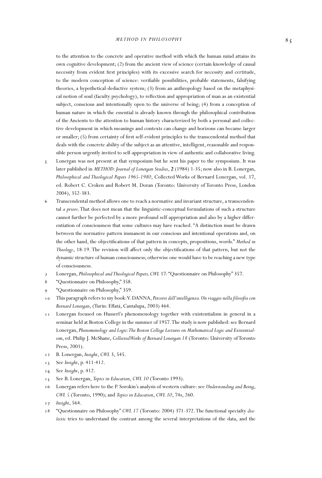to the attention to the concrete and operative method with which the human mind attains its own cognitive development; (2) from the ancient view of science (certain knowledge of causal necessity from evident first principles) with its excessive search for necessity and certitude, to the modern conception of science: verifiable possibilities, probable statements, falsifying theories, a hypothetical-deductive system; (3) from an anthropology based on the metaphysical notion of soul (faculty psychology), to reflection and appropriation of man as an existential subject, conscious and intentionally open to the universe of being; (4) from a conception of human nature in which the essential is already known through the philosophical contribution of the Ancients to the attention to human history characterized by both a personal and collective development in which meanings and contexts can change and horizons can became larger or smaller; (5) from certainty of first self-evident principles to the transcendental method that deals with the concrete ability of the subject as an attentive, intelligent, reasonable and responsible person urgently invited to self-appropriation in view of authentic and collaborative living.

- $\zeta$  Lonergan was not present at that symposium but he sent his paper to the symposium. It was later published in *METHOD: Journal of Lonergan Studies*, **2** (1984) 1-35; now also in B. Lonergan, *Philosophical and Theological Papers 1965-1980*, Collected Works of Bernard Lonergan, vol. 17, ed. Robert C. Croken and Robert M. Doran (Toronto: University of Toronto Press, London 2004), 352-383.
- 6 Transcendental method allows one to reach a normative and invariant structure, a transcendental *a priori*. That does not mean that the linguistic-conceptual formulations of such a structure cannot further be perfected by a more profound self-appropriation and also by a higher differentiation of consciousness that some cultures may have reached. "A distinction must be drawn between the normative pattern immanent in our conscious and intentional operations and, on the other hand, the objectifications of that pattern in concepts, propositions, words." Method in Theology, 18-19. The revision will affect only the objectifications of that pattern, but not the dynamic structure of human consciousness; otherwise one would have to be reaching a new type of consciousness.
- 7 Lonergan, *Philosophical and Theological Papers, CWL* 17*:* "Questionnaire on Philosophy" 357.
- 8 "Questionnaire on Philosophy," 358.
- "Questionnaire on Philosophy," 359.
- 10 This paragraph refers to my book: V. DANNA, *Percorsi dell'intelligenza. Un viaggio nella loso a con*  Bernard Lonergan, (Turin: Effatà, Cantalupa, 2003) 464.
- 11 Lonergan focused on Husserl's phenomenology together with existentialism in general in a seminar held at Boston College in the summer of 1957. The study is now published: see Bernard Lonergan, *Phenomenology and Logic: The Boston College Lectures on Mathematical Logic and Existentialism*, ed. Philip J. McShane, *Collected Works of Bernard Lonergan 18* (Toronto: University of Toronto Press, 2001).
- 12 B. Lonergan, *Insight*, *CWL* 3, 545.
- 13 See *Insight*, p. 411-412.
- 14 See *Insight*, p. 412.
- 15 See B. Lonergan, *Topics in Education*, *CWL 10* (Toronto 1993).
- 16 Lonergan refers here to the P. Sorokin's analysis of western culture: see *Understanding and Being*, *CWL 5* (Toronto, 1990); and *Topics in Education*, *CWL 10*, 74s, 260.
- 17 *Insight*, 564.
- 18 "Questionnaire on Philosophy" *CWL 17* (Toronto: 2004) 371-372. The functional specialty *dialectic* tries to understand the contrast among the several interpretations of the data, and the